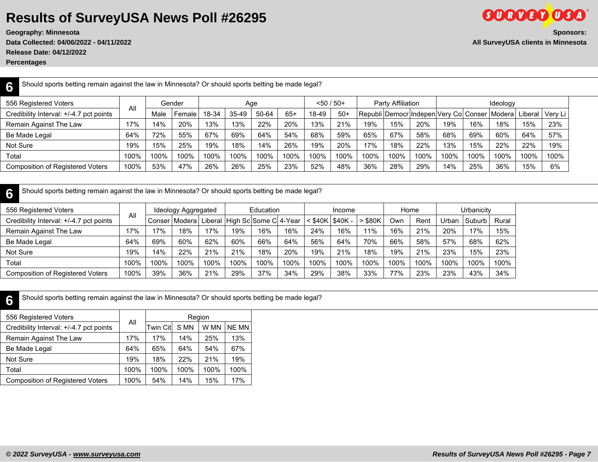## **Results of SurveyUSA News Poll #26295**

**Release Date: 04/12/2022**

**Percentages**

| Should sports betting remain against the law in Minnesota? Or should sports betting be made legal?<br>6 |      |      |        |       |       |       |       |              |       |                                                                     |                   |      |          |      |      |      |      |  |  |
|---------------------------------------------------------------------------------------------------------|------|------|--------|-------|-------|-------|-------|--------------|-------|---------------------------------------------------------------------|-------------------|------|----------|------|------|------|------|--|--|
| 556 Registered Voters                                                                                   |      |      | Gender |       |       | Age   |       | $<$ 50 / 50+ |       |                                                                     | Party Affiliation |      | Ideology |      |      |      |      |  |  |
| Credibility Interval: +/-4.7 pct points                                                                 | All  | Male | Female | 18-34 | 35-49 | 50-64 | $65+$ | 18-49        | $50+$ | Republi Democr Indepen Very Col Conser   Modera   Liberal   Very Li |                   |      |          |      |      |      |      |  |  |
| Remain Against The Law                                                                                  | 17%  | 14%  | 20%    | 13%   | 13%   | 22%   | 20%   | 13%          | 21%   | 19%                                                                 | 15%               | 20%  | 19%      | 16%  | 18%  | 15%  | 23%  |  |  |
| Be Made Legal                                                                                           | 64%  | 72%  | 55%    | 67%   | 69%   | 64%   | 54%   | 68%          | 59%   | 65%                                                                 | 67%               | 58%  | 68%      | 69%  | 60%  | 64%  | 57%  |  |  |
| Not Sure                                                                                                | 19%  | 15%  | 25%    | 19%   | 18%   | 14%   | 26%   | 19%          | 20%   | 17%                                                                 | 18%               | 22%  | 13%      | 15%  | 22%  | 22%  | 19%  |  |  |
| Total                                                                                                   | 100% | 100% | 100%   | 100%  | 100%  | 100%  | 100%  | 100%         | 100%  | 100%                                                                | 100%              | 100% | 100%     | 100% | 100% | 100% | 100% |  |  |
| <b>Composition of Registered Voters</b>                                                                 | 100% | 53%  | 47%    | 26%   | 26%   | 25%   | 23%   | 52%          | 48%   | 36%                                                                 | 28%               | 29%  | 14%      | 25%  | 36%  | 15%  | 6%   |  |  |

| ጽ                                       | Should sports betting remain against the law in Minnesota? Or should sports betting be made legal? |                     |            |      |      |                               |      |                     |        |           |      |      |            |        |       |  |
|-----------------------------------------|----------------------------------------------------------------------------------------------------|---------------------|------------|------|------|-------------------------------|------|---------------------|--------|-----------|------|------|------------|--------|-------|--|
| 556 Registered Voters                   | All                                                                                                | Ideology Aggregated |            |      |      | Education                     |      |                     | Income |           | Home |      | Urbanicity |        |       |  |
| Credibility Interval: +/-4.7 pct points |                                                                                                    | Conser              | l Modera l |      |      | Liberal High Sc Some C 4-Year |      | $<$ \$40K   \$40K - |        | $>$ \$80K | Own  | Rent | Urban      | Suburb | Rural |  |
| Remain Against The Law                  | 17%                                                                                                | 17%                 | 18%        | 17%  | 19%  | 16%                           | 16%  | 24%                 | 16%    | 11%       | 16%  | 21%  | 20%        | 17%    | 15%   |  |
| Be Made Legal                           | 64%                                                                                                | 69%                 | 60%        | 62%  | 60%  | 66%                           | 64%  | 56%                 | 64%    | 70%       | 66%  | 58%  | 57%        | 68%    | 62%   |  |
| Not Sure                                | 19%                                                                                                | 14%                 | 22%        | 21%  | 21%  | 18%                           | 20%  | 19%                 | 21%    | 18%       | 19%  | 21%  | 23%        | 15%    | 23%   |  |
| Total                                   | 100%                                                                                               | 100%                | 100%       | 100% | 100% | 100%                          | 100% | 100%                | 100%   | 100%      | 100% | 100% | 100%       | 100%   | 100%  |  |
| <b>Composition of Registered Voters</b> | 100%                                                                                               | 39%                 | 36%        | 21%  | 29%  | 37%                           | 34%  | 29%                 | 38%    | 33%       | 77%  | 23%  | 23%        | 43%    | 34%   |  |

**6** Should sports betting remain against the law in Minnesota? Or should sports betting be made legal?

| 556 Registered Voters                   |      | Region   |      |      |       |  |  |  |  |  |
|-----------------------------------------|------|----------|------|------|-------|--|--|--|--|--|
| Credibility Interval: +/-4.7 pct points | All  | Twin Cit | S MN | W MN | NE MN |  |  |  |  |  |
| Remain Against The Law                  | 17%  | 17%      | 14%  | 25%  | 13%   |  |  |  |  |  |
| Be Made Legal                           | 64%  | 65%      | 64%  | 54%  | 67%   |  |  |  |  |  |
| Not Sure                                | 19%  | 18%      | 22%  | 21%  | 19%   |  |  |  |  |  |
| Total                                   | 100% | 100%     | 100% | 100% | 100%  |  |  |  |  |  |
| <b>Composition of Registered Voters</b> | 100% | 54%      | 14%  | 15%  | 17%   |  |  |  |  |  |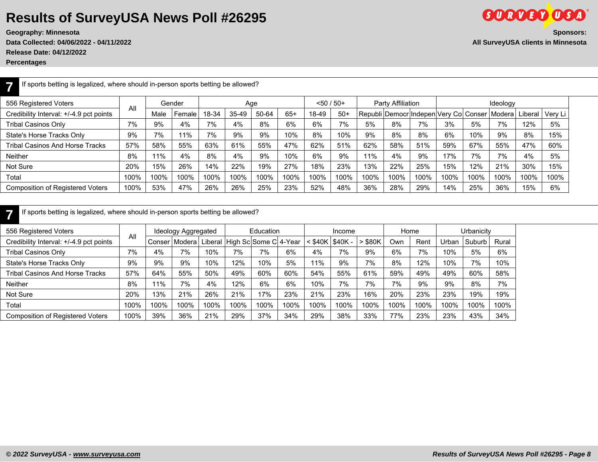## **Results of SurveyUSA News Poll #26295**

**Geography: Minnesota** 

**Data Collected: 04/06/2022 - 04/11/2022** 

**Release Date: 04/12/2022**

**Percentages**

**7**

|                                    | <b>Sponsors:</b> |
|------------------------------------|------------------|
| All SurveyUSA clients in Minnesota |                  |

**GORDED OSA** 

If sports betting is legalized, where should in-person sports betting be allowed?

| 556 Registered Voters                   |      | Gender<br>All |        | Age   |         |       |       | $< 50 / 50+$ |       | Party Affiliation |      |                                        | Ideology |      |        |         |         |  |
|-----------------------------------------|------|---------------|--------|-------|---------|-------|-------|--------------|-------|-------------------|------|----------------------------------------|----------|------|--------|---------|---------|--|
| Credibility Interval: +/-4.9 pct points |      | Male          | Female | 18-34 | $35-49$ | 50-64 | $65+$ | 18-49        | $50+$ |                   |      | Republi Democr Indepen Very Col Conser |          |      | Modera | _iberal | Verv Li |  |
| <b>Tribal Casinos Only</b>              | 7%   | 9%            | 4%     | 7%    | 4%      | 8%    | 6%    | 6%           | 7%    | 5%                | 8%   | 7%                                     | 3%       | 5%   | 7%     | 12%     | 5%      |  |
| State's Horse Tracks Only               | 9%   | 7%            | 11%    | 7%    | 9%      | 9%    | 10%   | 8%           | 10%   | 9%                | 8%   | 8%                                     | 6%       | 10%  | 9%     | 8%      | 15%     |  |
| Tribal Casinos And Horse Tracks         | 57%  | 58%           | 55%    | 63%   | 61%     | 55%   | 47%   | 62%          | 51%   | 62%               | 58%  | 51%                                    | 59%      | 67%  | 55%    | 47%     | 60%     |  |
| <b>Neither</b>                          | 8%   | 11%           | 4%     | 8%    | 4%      | 9%    | 10%   | 6%           | 9%    | 11%               | 4%   | 9%                                     | 17%      | 7%   | 7%     | 4%      | 5%      |  |
| Not Sure                                | 20%  | 15%           | 26%    | 14%   | 22%     | 19%   | 27%   | 18%          | 23%   | 13%               | 22%  | 25%                                    | 15%      | 12%  | 21%    | 30%     | 15%     |  |
| Total                                   | 100% | 100%          | 100%   | 100%  | 100%    | 100%  | 100%  | 100%         | 100%  | 100%              | 100% | 100%                                   | 100%     | 100% | 100%   | 100%    | 100%    |  |
| <b>Composition of Registered Voters</b> | 100% | 53%           | 47%    | 26%   | 26%     | 25%   | 23%   | 52%          | 48%   | 36%               | 28%  | 29%                                    | 14%      | 25%  | 36%    | 15%     | 6%      |  |
|                                         |      |               |        |       |         |       |       |              |       |                   |      |                                        |          |      |        |         |         |  |

**7** If sports betting is legalized, where should in-person sports betting be allowed?

| 556 Registered Voters                   |      |        | Ideology Aggregated |      |                               | Education |      |                           | Income |       | Home |      | Urbanicity |        |       |
|-----------------------------------------|------|--------|---------------------|------|-------------------------------|-----------|------|---------------------------|--------|-------|------|------|------------|--------|-------|
| Credibility Interval: +/-4.9 pct points | All  | Conser | l Modera            |      | Liberal High Sc Some C 4-Year |           |      | $<$ \$40K $\vert$ \$40K - |        | \$80K | .Jwn | Rent | Urban      | Suburb | Rural |
| <b>Tribal Casinos Only</b>              | 7%   | 4%     | 7%                  | 10%  | 7%                            | 7%        | 6%   | 4%                        | 7%     | 9%    | 6%   | 7%   | 10%        | 5%     | 6%    |
| State's Horse Tracks Only               | 9%   | 9%     | 9%                  | 10%  | 12%                           | 10%       | 5%   | 11%                       | 9%     | 7%    | 8%   | 12%  | 10%        | 7%     | 10%   |
| <b>Tribal Casinos And Horse Tracks</b>  | 57%  | 64%    | 55%                 | 50%  | 49%                           | 60%       | 60%  | 54%                       | 55%    | 61%   | 59%  | 49%  | 49%        | 60%    | 58%   |
| <b>Neither</b>                          | 8%   | 11%    | 7%                  | 4%   | 12%                           | 6%        | 6%   | 10%                       | 7%     | 7%    | 7%   | 9%   | 9%         | 8%     | 7%    |
| Not Sure                                | 20%  | 13%    | 21%                 | 26%  | 21%                           | 17%       | 23%  | 21%                       | 23%    | 16%   | 20%  | 23%  | 23%        | 19%    | 19%   |
| Total                                   | 100% | 100%   | 100%                | 100% | 100%                          | 100%      | 100% | 100%                      | 100%   | 100%  | 100% | 100% | 100%       | 100%   | 100%  |
| Composition of Registered Voters        | 100% | 39%    | 36%                 | 21%  | 29%                           | 37%       | 34%  | 29%                       | 38%    | 33%   | 77%  | 23%  | 23%        | 43%    | 34%   |